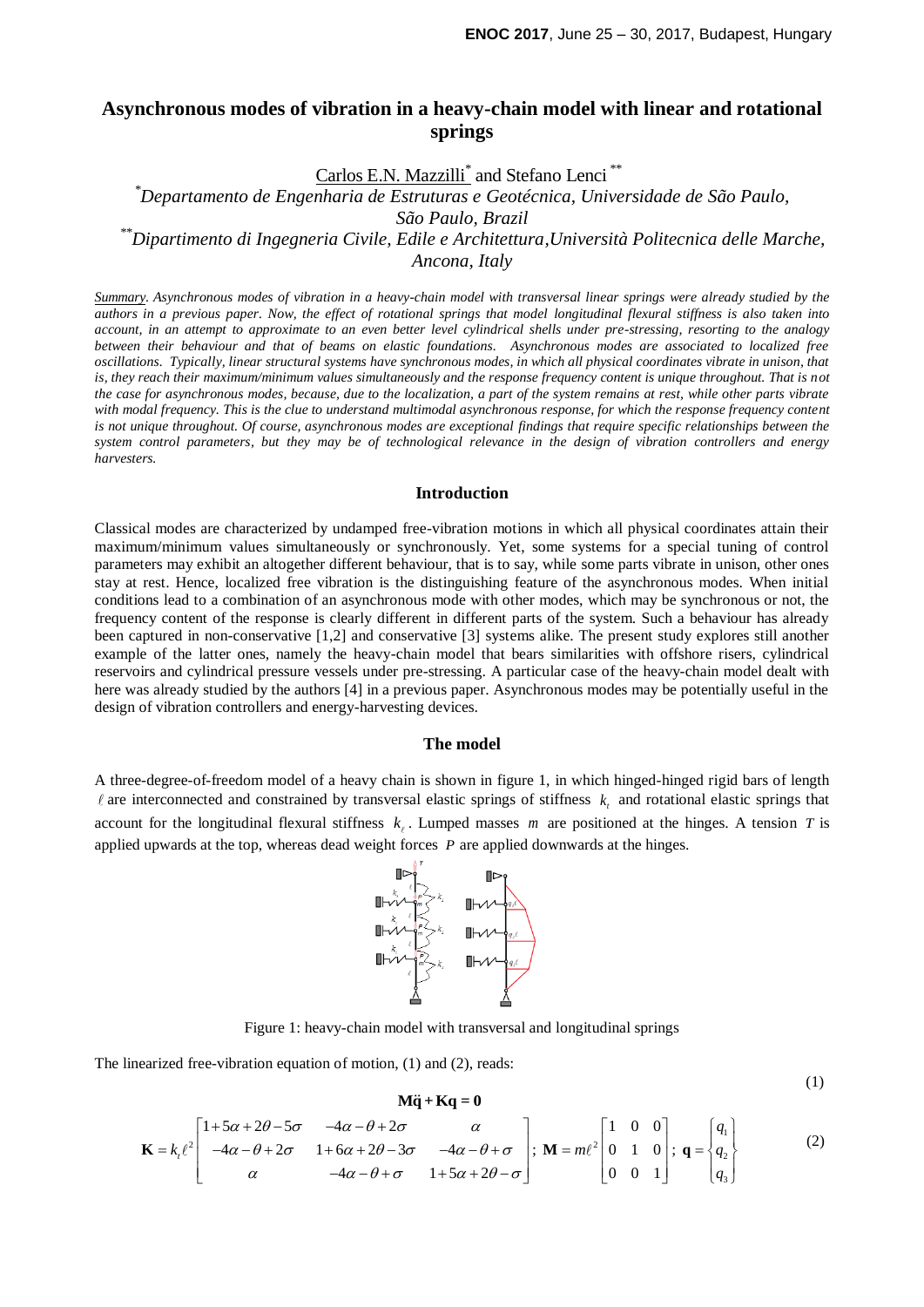# **Asynchronous modes of vibration in a heavy-chain model with linear and rotational springs**

Carlos E.N. Mazzilli<sup>\*</sup> and Stefano Lenci<sup>\*\*</sup>

*\*Departamento de Engenharia de Estruturas e Geotécnica, Universidade de São Paulo, São Paulo, Brazil \*\*Dipartimento di Ingegneria Civile, Edile e Architettura,Università Politecnica delle Marche, Ancona, Italy*

*Summary*. *Asynchronous modes of vibration in a heavy-chain model with transversal linear springs were already studied by the authors in a previous paper. Now, the effect of rotational springs that model longitudinal flexural stiffness is also taken into account, in an attempt to approximate to an even better level cylindrical shells under pre-stressing, resorting to the analogy between their behaviour and that of beams on elastic foundations. Asynchronous modes are associated to localized free oscillations. Typically, linear structural systems have synchronous modes, in which all physical coordinates vibrate in unison, that is, they reach their maximum/minimum values simultaneously and the response frequency content is unique throughout. That is not the case for asynchronous modes, because, due to the localization, a part of the system remains at rest, while other parts vibrate*  with modal frequency. This is the clue to understand multimodal asynchronous response, for which the response frequency content *is not unique throughout. Of course, asynchronous modes are exceptional findings that require specific relationships between the system control parameters, but they may be of technological relevance in the design of vibration controllers and energy harvesters.*

## **Introduction**

Classical modes are characterized by undamped free-vibration motions in which all physical coordinates attain their maximum/minimum values simultaneously or synchronously. Yet, some systems for a special tuning of control parameters may exhibit an altogether different behaviour, that is to say, while some parts vibrate in unison, other ones stay at rest. Hence, localized free vibration is the distinguishing feature of the asynchronous modes. When initial conditions lead to a combination of an asynchronous mode with other modes, which may be synchronous or not, the frequency content of the response is clearly different in different parts of the system. Such a behaviour has already been captured in non-conservative [1,2] and conservative [3] systems alike. The present study explores still another example of the latter ones, namely the heavy-chain model that bears similarities with offshore risers, cylindrical reservoirs and cylindrical pressure vessels under pre-stressing. A particular case of the heavy-chain model dealt with here was already studied by the authors [4] in a previous paper. Asynchronous modes may be potentially useful in the design of vibration controllers and energy-harvesting devices.

#### **The model**

A three-degree-of-freedom model of a heavy chain is shown in figure 1, in which hinged-hinged rigid bars of length are interconnected and constrained by transversal elastic springs of stiffness  $k<sub>i</sub>$  and rotational elastic springs that account for the longitudinal flexural stiffness  $k_{\ell}$ . Lumped masses m are positioned at the hinges. A tension T is applied upwards at the top, whereas dead weight forces *P* are applied downwards at the hinges.



Figure 1: heavy-chain model with transversal and longitudinal springs

The linearized free-vibration equation of motion, (1) and (2), reads:

$$
M\ddot{q} + Kq = 0
$$

(1)

$$
\mathbf{M}\ddot{\mathbf{q}} + \mathbf{K}\mathbf{q} = \mathbf{0}
$$
  
\n
$$
\mathbf{K} = k_t \ell^2 \begin{bmatrix} 1 + 5\alpha + 2\theta - 5\sigma & -4\alpha - \theta + 2\sigma & \alpha \\ -4\alpha - \theta + 2\sigma & 1 + 6\alpha + 2\theta - 3\sigma & -4\alpha - \theta + \sigma \\ \alpha & -4\alpha - \theta + \sigma & 1 + 5\alpha + 2\theta - \sigma \end{bmatrix}; \ \mathbf{M} = m\ell^2 \begin{bmatrix} 1 & 0 & 0 \\ 0 & 1 & 0 \\ 0 & 0 & 1 \end{bmatrix}; \ \mathbf{q} = \begin{Bmatrix} q_1 \\ q_2 \\ q_3 \end{Bmatrix}
$$
 (2)